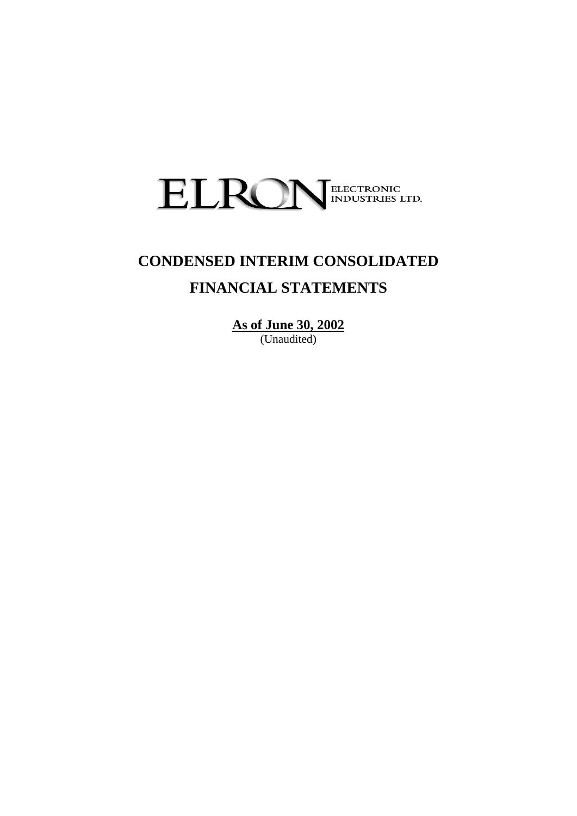

# **CONDENSED INTERIM CONSOLIDATED FINANCIAL STATEMENTS**

**As of June 30, 2002** (Unaudited)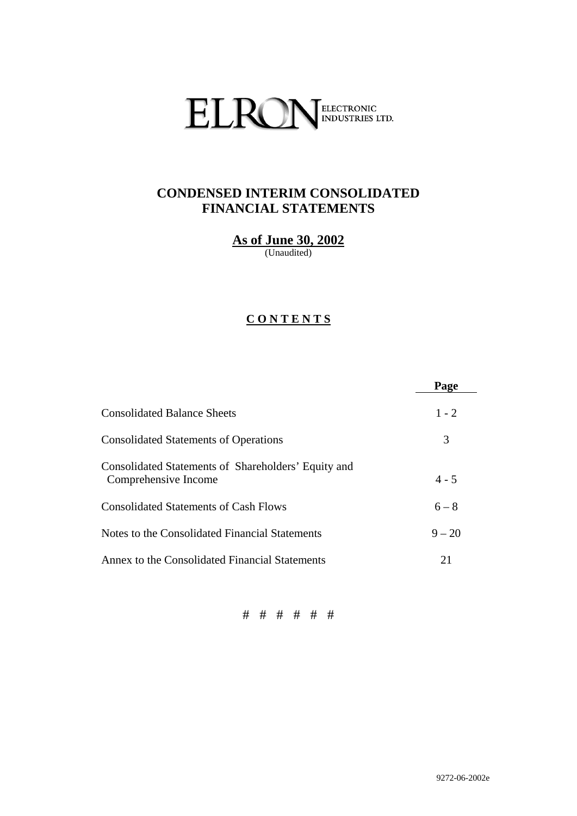

# **CONDENSED INTERIM CONSOLIDATED FINANCIAL STATEMENTS**

**As of June 30, 2002**

(Unaudited)

# **C O N T E N T S**

|                                                                             | Page     |
|-----------------------------------------------------------------------------|----------|
| <b>Consolidated Balance Sheets</b>                                          | $1 - 2$  |
| <b>Consolidated Statements of Operations</b>                                | 3        |
| Consolidated Statements of Shareholders' Equity and<br>Comprehensive Income | $4 - 5$  |
| <b>Consolidated Statements of Cash Flows</b>                                | $6 - 8$  |
| Notes to the Consolidated Financial Statements                              | $9 - 20$ |
| Annex to the Consolidated Financial Statements                              | 21       |

# # # # # #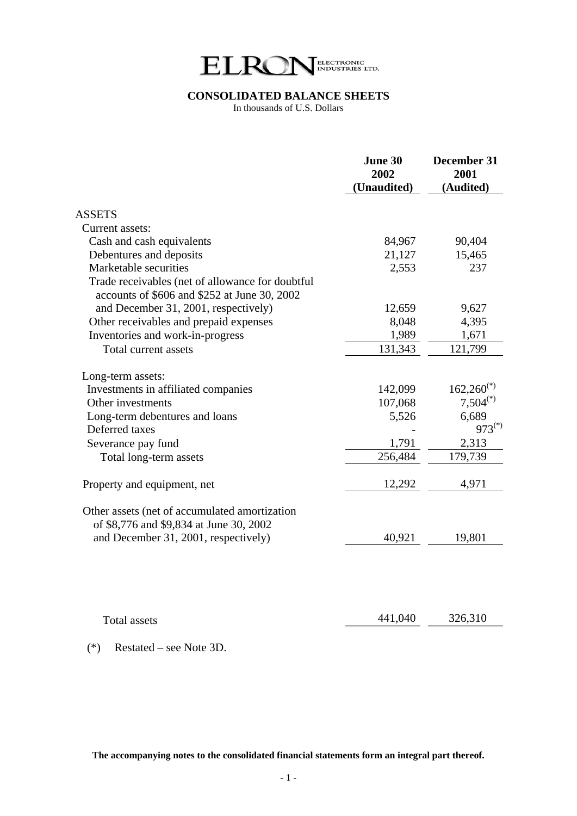

# **CONSOLIDATED BALANCE SHEETS**

In thousands of U.S. Dollars

|                                                                                                  | June 30<br>2002<br>(Unaudited) | December 31<br>2001<br>(Audited) |
|--------------------------------------------------------------------------------------------------|--------------------------------|----------------------------------|
| <b>ASSETS</b>                                                                                    |                                |                                  |
| Current assets:                                                                                  |                                |                                  |
| Cash and cash equivalents                                                                        | 84,967                         | 90,404                           |
| Debentures and deposits                                                                          | 21,127                         | 15,465                           |
| Marketable securities                                                                            | 2,553                          | 237                              |
| Trade receivables (net of allowance for doubtful<br>accounts of \$606 and \$252 at June 30, 2002 |                                |                                  |
| and December 31, 2001, respectively)                                                             | 12,659                         | 9,627                            |
| Other receivables and prepaid expenses                                                           | 8,048                          | 4,395                            |
| Inventories and work-in-progress                                                                 | 1,989                          | 1,671                            |
| Total current assets                                                                             | 131,343                        | 121,799                          |
| Long-term assets:                                                                                |                                |                                  |
| Investments in affiliated companies                                                              | 142,099                        | $162,260^{(*)}$                  |
| Other investments                                                                                | 107,068                        | $7,504^{(*)}$                    |
| Long-term debentures and loans                                                                   | 5,526                          | 6,689                            |
| Deferred taxes                                                                                   |                                | $973^{(*)}$                      |
| Severance pay fund                                                                               | 1,791                          | 2,313                            |
| Total long-term assets                                                                           | 256,484                        | 179,739                          |
| Property and equipment, net                                                                      | 12,292                         | 4,971                            |
| Other assets (net of accumulated amortization<br>of \$8,776 and \$9,834 at June 30, 2002         |                                |                                  |
| and December 31, 2001, respectively)                                                             | 40,921                         | 19,801                           |
|                                                                                                  |                                |                                  |
| <b>Total assets</b>                                                                              | 441,040                        | 326,310                          |

(\*) Restated – see Note 3D.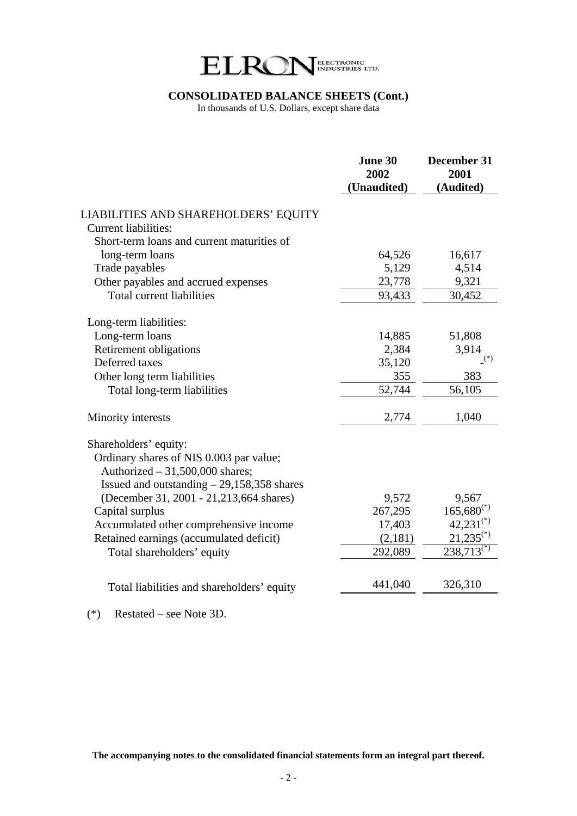

#### **CONSOLIDATED BALANCE SHEETS (Cont.)**

In thousands of U.S. Dollars, except share data

|                                             | June 30<br>2002<br><b>Unaudited</b> ) | December 31<br>2001<br>(Audited) |
|---------------------------------------------|---------------------------------------|----------------------------------|
| LIABILITIES AND SHAREHOLDERS' EQUITY        |                                       |                                  |
| <b>Current liabilities:</b>                 |                                       |                                  |
| Short-term loans and current maturities of  |                                       |                                  |
| long-term loans                             | 64,526                                | 16,617                           |
| Trade payables                              | 5,129                                 | 4,514                            |
| Other payables and accrued expenses         | 23,778                                | 9,321                            |
| <b>Total current liabilities</b>            | 93,433                                | 30,452                           |
| Long-term liabilities:                      |                                       |                                  |
| Long-term loans                             | 14,885                                | 51,808                           |
| <b>Retirement obligations</b>               | 2,384                                 | 3,914                            |
| Deferred taxes                              | 35,120                                | $(*)$                            |
| Other long term liabilities                 | 355                                   | 383                              |
| Total long-term liabilities                 | 52,744                                | 56,105                           |
| Minority interests                          | 2,774                                 | 1,040                            |
| Shareholders' equity:                       |                                       |                                  |
| Ordinary shares of NIS 0.003 par value;     |                                       |                                  |
| Authorized $-31,500,000$ shares;            |                                       |                                  |
| Issued and outstanding $-29,158,358$ shares |                                       |                                  |
| (December 31, 2001 - 21, 213, 664 shares)   | 9,572                                 | 9,567                            |
| Capital surplus                             | 267,295                               | $165,680^{(*)}$                  |
| Accumulated other comprehensive income      | 17,403                                | $42,231^{(*)}$                   |
| Retained earnings (accumulated deficit)     | (2,181)                               | $21,235^{(*)}$                   |
| Total shareholders' equity                  | 292,089                               | $238,713^{(*)}$                  |
|                                             |                                       |                                  |
| Total liabilities and shareholders' equity  | 441,040                               | 326,310                          |
|                                             |                                       |                                  |

(\*) Restated – see Note 3D.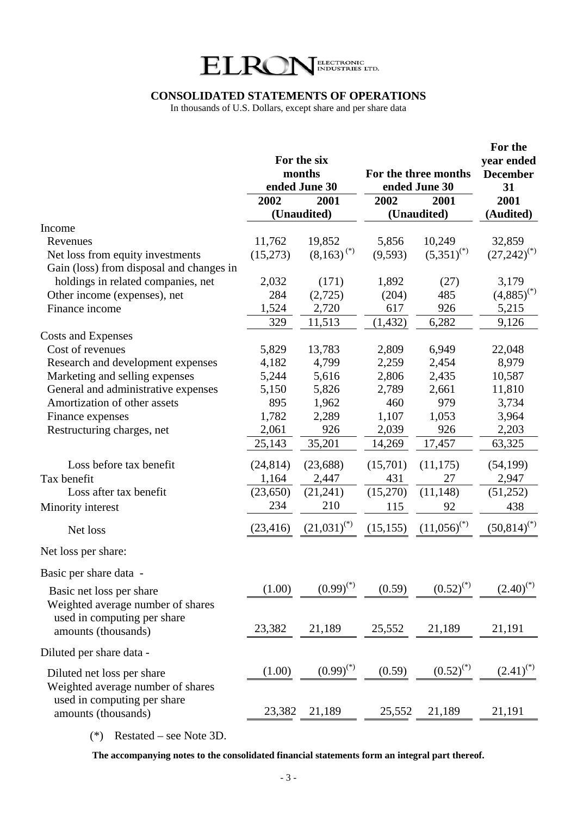

## **CONSOLIDATED STATEMENTS OF OPERATIONS**

In thousands of U.S. Dollars, except share and per share data

|        |                                                                                                                                              |                                                                                                                                                                                                                                                        |                                                                                                                                              | For the<br>year ended<br><b>December</b><br>31                                                                                                                                                                                            |
|--------|----------------------------------------------------------------------------------------------------------------------------------------------|--------------------------------------------------------------------------------------------------------------------------------------------------------------------------------------------------------------------------------------------------------|----------------------------------------------------------------------------------------------------------------------------------------------|-------------------------------------------------------------------------------------------------------------------------------------------------------------------------------------------------------------------------------------------|
|        |                                                                                                                                              |                                                                                                                                                                                                                                                        |                                                                                                                                              | 2001                                                                                                                                                                                                                                      |
|        |                                                                                                                                              |                                                                                                                                                                                                                                                        |                                                                                                                                              | (Audited)                                                                                                                                                                                                                                 |
|        |                                                                                                                                              |                                                                                                                                                                                                                                                        |                                                                                                                                              | 32,859                                                                                                                                                                                                                                    |
|        |                                                                                                                                              |                                                                                                                                                                                                                                                        |                                                                                                                                              | $(27,242)^{(*)}$                                                                                                                                                                                                                          |
|        |                                                                                                                                              |                                                                                                                                                                                                                                                        |                                                                                                                                              |                                                                                                                                                                                                                                           |
|        |                                                                                                                                              |                                                                                                                                                                                                                                                        |                                                                                                                                              | 3,179                                                                                                                                                                                                                                     |
|        |                                                                                                                                              |                                                                                                                                                                                                                                                        |                                                                                                                                              | $(4,885)^{(*)}$                                                                                                                                                                                                                           |
|        |                                                                                                                                              |                                                                                                                                                                                                                                                        |                                                                                                                                              | 5,215                                                                                                                                                                                                                                     |
|        |                                                                                                                                              |                                                                                                                                                                                                                                                        |                                                                                                                                              | 9,126                                                                                                                                                                                                                                     |
|        |                                                                                                                                              |                                                                                                                                                                                                                                                        |                                                                                                                                              |                                                                                                                                                                                                                                           |
|        |                                                                                                                                              |                                                                                                                                                                                                                                                        |                                                                                                                                              | 22,048                                                                                                                                                                                                                                    |
|        |                                                                                                                                              |                                                                                                                                                                                                                                                        |                                                                                                                                              | 8,979                                                                                                                                                                                                                                     |
|        |                                                                                                                                              |                                                                                                                                                                                                                                                        |                                                                                                                                              | 10,587                                                                                                                                                                                                                                    |
| 5,150  | 5,826                                                                                                                                        | 2,789                                                                                                                                                                                                                                                  | 2,661                                                                                                                                        | 11,810                                                                                                                                                                                                                                    |
| 895    | 1,962                                                                                                                                        | 460                                                                                                                                                                                                                                                    | 979                                                                                                                                          | 3,734                                                                                                                                                                                                                                     |
| 1,782  | 2,289                                                                                                                                        | 1,107                                                                                                                                                                                                                                                  | 1,053                                                                                                                                        | 3,964                                                                                                                                                                                                                                     |
| 2,061  | 926                                                                                                                                          | 2,039                                                                                                                                                                                                                                                  | 926                                                                                                                                          | 2,203                                                                                                                                                                                                                                     |
| 25,143 | 35,201                                                                                                                                       | 14,269                                                                                                                                                                                                                                                 | 17,457                                                                                                                                       | 63,325                                                                                                                                                                                                                                    |
|        |                                                                                                                                              |                                                                                                                                                                                                                                                        |                                                                                                                                              | (54, 199)                                                                                                                                                                                                                                 |
|        |                                                                                                                                              |                                                                                                                                                                                                                                                        |                                                                                                                                              | 2,947                                                                                                                                                                                                                                     |
|        |                                                                                                                                              |                                                                                                                                                                                                                                                        |                                                                                                                                              | (51,252)                                                                                                                                                                                                                                  |
|        |                                                                                                                                              |                                                                                                                                                                                                                                                        |                                                                                                                                              | 438                                                                                                                                                                                                                                       |
|        |                                                                                                                                              |                                                                                                                                                                                                                                                        |                                                                                                                                              |                                                                                                                                                                                                                                           |
|        |                                                                                                                                              |                                                                                                                                                                                                                                                        |                                                                                                                                              | $(50,814)^{(*)}$                                                                                                                                                                                                                          |
|        |                                                                                                                                              |                                                                                                                                                                                                                                                        |                                                                                                                                              |                                                                                                                                                                                                                                           |
|        |                                                                                                                                              |                                                                                                                                                                                                                                                        |                                                                                                                                              |                                                                                                                                                                                                                                           |
| (1.00) |                                                                                                                                              | (0.59)                                                                                                                                                                                                                                                 |                                                                                                                                              | $(2.40)^{(*)}$                                                                                                                                                                                                                            |
| 23,382 | 21,189                                                                                                                                       | 25,552                                                                                                                                                                                                                                                 | 21,189                                                                                                                                       | 21,191                                                                                                                                                                                                                                    |
|        |                                                                                                                                              |                                                                                                                                                                                                                                                        |                                                                                                                                              |                                                                                                                                                                                                                                           |
| (1.00) | $(0.99)^{(*)}$                                                                                                                               | (0.59)                                                                                                                                                                                                                                                 | $(0.52)^{(*)}$                                                                                                                               | $(2.41)^{(*)}$                                                                                                                                                                                                                            |
|        | 21,189                                                                                                                                       |                                                                                                                                                                                                                                                        | 21,189                                                                                                                                       | 21,191                                                                                                                                                                                                                                    |
|        | 2002<br>11,762<br>(15,273)<br>2,032<br>284<br>1,524<br>329<br>5,829<br>4,182<br>5,244<br>(24, 814)<br>1,164<br>(23, 650)<br>234<br>(23, 416) | For the six<br>months<br>ended June 30<br>2001<br>(Unaudited)<br>19,852<br>$(8,163)^{(*)}$<br>(171)<br>(2,725)<br>2,720<br>11,513<br>13,783<br>4,799<br>5,616<br>(23, 688)<br>2,447<br>(21,241)<br>210<br>$(21,031)^{(*)}$<br>$(0.99)^{(*)}$<br>23,382 | 2002<br>5,856<br>(9, 593)<br>1,892<br>(204)<br>617<br>(1, 432)<br>2,809<br>2,259<br>2,806<br>(15,701)<br>431<br>(15,270)<br>115<br>(15, 155) | For the three months<br>ended June 30<br>2001<br>(Unaudited)<br>10,249<br>$(5,351)^{(*)}$<br>(27)<br>485<br>926<br>6,282<br>6,949<br>2,454<br>2,435<br>(11, 175)<br>27<br>(11, 148)<br>92<br>$(11,056)^{(*)}$<br>$(0.52)^{(*)}$<br>25,552 |

(\*) Restated – see Note 3D.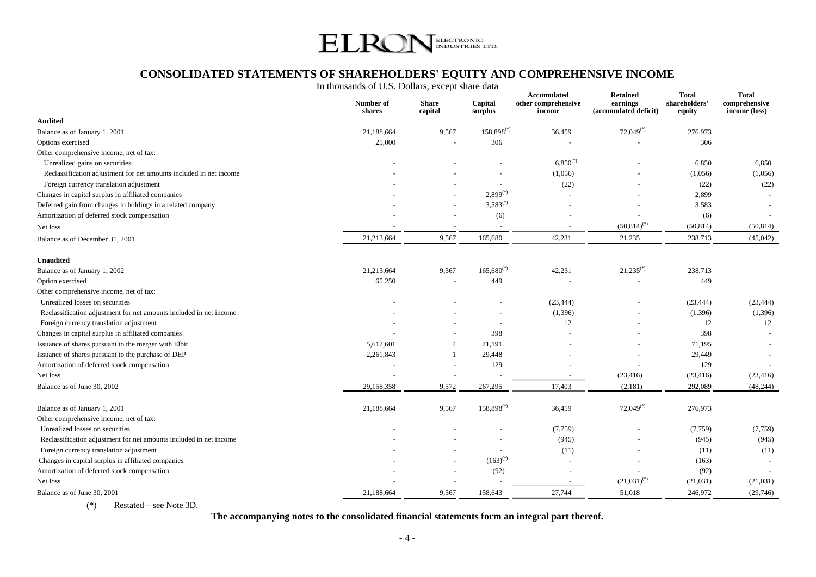

# **CONSOLIDATED STATEMENTS OF SHAREHOLDERS' EQUITY AND COMPREHENSIVE INCOME**

In thousands of U.S. Dollars, except share data

|                                                                    | Number of<br>shares | <b>Share</b><br>capital  | Capital<br>surplus       | Accumulated<br>other comprehensive<br>income | <b>Retained</b><br>earnings<br>(accumulated deficit) | Total<br>shareholders'<br>equity | Total<br>comprehensive<br>income (loss) |
|--------------------------------------------------------------------|---------------------|--------------------------|--------------------------|----------------------------------------------|------------------------------------------------------|----------------------------------|-----------------------------------------|
| <b>Audited</b>                                                     |                     |                          |                          |                                              |                                                      |                                  |                                         |
| Balance as of January 1, 2001                                      | 21,188,664          | 9,567                    | $158,898^{(*)}$          | 36,459                                       | $72,049$ <sup>(*)</sup>                              | 276,973                          |                                         |
| Options exercised                                                  | 25,000              |                          | 306                      |                                              |                                                      | 306                              |                                         |
| Other comprehensive income, net of tax:                            |                     |                          |                          |                                              |                                                      |                                  |                                         |
| Unrealized gains on securities                                     |                     |                          |                          | $6,850^{(*)}$                                |                                                      | 6,850                            | 6,850                                   |
| Reclassification adjustment for net amounts included in net income |                     |                          |                          | (1,056)                                      |                                                      | (1,056)                          | (1,056)                                 |
| Foreign currency translation adjustment                            |                     |                          | $\sim$                   | (22)                                         |                                                      | (22)                             | (22)                                    |
| Changes in capital surplus in affiliated companies                 |                     |                          | $2,899^{(*)}$            |                                              |                                                      | 2,899                            |                                         |
| Deferred gain from changes in holdings in a related company        |                     |                          | $3,583^{(*)}$            |                                              |                                                      | 3,583                            |                                         |
| Amortization of deferred stock compensation                        |                     |                          | (6)                      |                                              | $\overline{\phantom{a}}$                             | (6)                              |                                         |
| Net loss                                                           |                     |                          | $\overline{\phantom{a}}$ | $\overline{\phantom{a}}$                     | $(50,814)^{(*)}$                                     | (50, 814)                        | (50, 814)                               |
| Balance as of December 31, 2001                                    | 21,213,664          | 9,567                    | 165,680                  | 42,231                                       | 21,235                                               | 238,713                          | (45,042)                                |
| <b>Unaudited</b>                                                   |                     |                          |                          |                                              |                                                      |                                  |                                         |
| Balance as of January 1, 2002                                      | 21,213,664          | 9,567                    | $165,680^{(*)}$          | 42,231                                       | $21,235$ <sup>(*)</sup>                              | 238,713                          |                                         |
| Option exercised                                                   | 65,250              |                          | 449                      |                                              |                                                      | 449                              |                                         |
| Other comprehensive income, net of tax:                            |                     |                          |                          |                                              |                                                      |                                  |                                         |
| Unrealized losses on securities                                    |                     |                          |                          | (23, 444)                                    |                                                      | (23, 444)                        | (23, 444)                               |
| Reclassification adjustment for net amounts included in net income |                     |                          |                          | (1,396)                                      |                                                      | (1,396)                          | (1,396)                                 |
| Foreign currency translation adjustment                            |                     |                          |                          | 12                                           |                                                      | 12                               | 12                                      |
| Changes in capital surplus in affiliated companies                 |                     |                          | 398                      |                                              |                                                      | 398                              |                                         |
| Issuance of shares pursuant to the merger with Elbit               | 5,617,601           | $\overline{A}$           | 71,191                   |                                              |                                                      | 71,195                           |                                         |
| Issuance of shares pursuant to the purchase of DEP                 | 2,261,843           | -1                       | 29,448                   |                                              |                                                      | 29,449                           |                                         |
| Amortization of deferred stock compensation                        |                     |                          | 129                      |                                              |                                                      | 129                              |                                         |
| Net loss                                                           |                     | $\overline{\phantom{a}}$ |                          |                                              | (23, 416)                                            | (23, 416)                        | (23, 416)                               |
| Balance as of June 30, 2002                                        | 29,158,358          | 9,572                    | 267,295                  | 17,403                                       | (2,181)                                              | 292,089                          | (48, 244)                               |
| Balance as of January 1, 2001                                      | 21,188,664          | 9,567                    | $158,898^{(*)}$          | 36,459                                       | $72,049^{(*)}$                                       | 276,973                          |                                         |
| Other comprehensive income, net of tax:                            |                     |                          |                          |                                              |                                                      |                                  |                                         |
| Unrealized losses on securities                                    |                     |                          |                          | (7,759)                                      |                                                      | (7,759)                          | (7,759)                                 |
| Reclassification adjustment for net amounts included in net income |                     |                          | $\overline{\phantom{a}}$ | (945)                                        |                                                      | (945)                            | (945)                                   |
| Foreign currency translation adjustment                            |                     |                          |                          | (11)                                         |                                                      | (11)                             | (11)                                    |
| Changes in capital surplus in affiliated companies                 |                     |                          | $(163)^{(*)}$            |                                              |                                                      | (163)                            |                                         |
| Amortization of deferred stock compensation                        |                     |                          | (92)                     |                                              |                                                      | (92)                             |                                         |
| Net loss                                                           |                     |                          |                          |                                              | $(21,031)^{(*)}$                                     | (21, 031)                        | (21,031)                                |
| Balance as of June 30, 2001                                        | 21,188,664          | 9,567                    | 158,643                  | 27,744                                       | 51,018                                               | 246,972                          | (29,746)                                |

(\*) Restated – see Note 3D.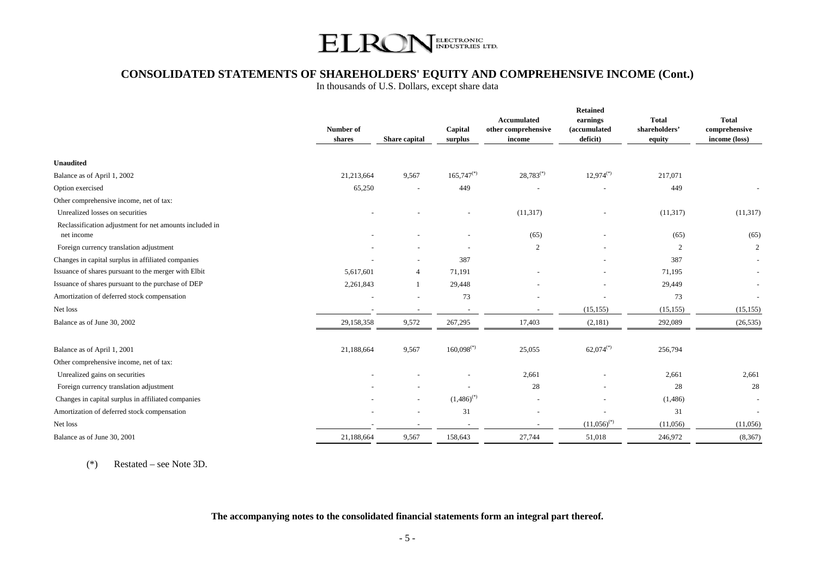

# **CONSOLIDATED STATEMENTS OF SHAREHOLDERS' EQUITY AND COMPREHENSIVE INCOME (Cont.)**

In thousands of U.S. Dollars, except share data

|                                                                       | Number of<br>shares | Share capital  | Capital<br>surplus       | <b>Accumulated</b><br>other comprehensive<br>income | <b>Retained</b><br>earnings<br>(accumulated<br>deficit) | <b>Total</b><br>shareholders'<br>equity | <b>Total</b><br>comprehensive<br>income (loss) |
|-----------------------------------------------------------------------|---------------------|----------------|--------------------------|-----------------------------------------------------|---------------------------------------------------------|-----------------------------------------|------------------------------------------------|
|                                                                       |                     |                |                          |                                                     |                                                         |                                         |                                                |
| <b>Unaudited</b>                                                      |                     |                |                          |                                                     |                                                         |                                         |                                                |
| Balance as of April 1, 2002                                           | 21,213,664          | 9,567          | $165,747$ <sup>(*)</sup> | $28,783^{(*)}$                                      | $12,974^{(*)}$                                          | 217,071                                 |                                                |
| Option exercised                                                      | 65,250              |                | 449                      |                                                     |                                                         | 449                                     |                                                |
| Other comprehensive income, net of tax:                               |                     |                |                          |                                                     |                                                         |                                         |                                                |
| Unrealized losses on securities                                       |                     |                |                          | (11, 317)                                           |                                                         | (11, 317)                               | (11,317)                                       |
| Reclassification adjustment for net amounts included in<br>net income |                     |                |                          | (65)                                                |                                                         | (65)                                    | (65)                                           |
| Foreign currency translation adjustment                               |                     |                |                          | 2                                                   |                                                         | 2                                       | 2                                              |
| Changes in capital surplus in affiliated companies                    |                     |                | 387                      |                                                     |                                                         | 387                                     | $\sim$                                         |
| Issuance of shares pursuant to the merger with Elbit                  | 5,617,601           | $\overline{4}$ | 71,191                   |                                                     |                                                         | 71,195                                  |                                                |
| Issuance of shares pursuant to the purchase of DEP                    | 2,261,843           |                | 29,448                   |                                                     |                                                         | 29,449                                  | $\sim$                                         |
| Amortization of deferred stock compensation                           |                     |                | 73                       |                                                     |                                                         | 73                                      |                                                |
| Net loss                                                              |                     |                |                          | $\sim$                                              | (15, 155)                                               | (15, 155)                               | (15, 155)                                      |
| Balance as of June 30, 2002                                           | 29,158,358          | 9,572          | 267,295                  | 17,403                                              | (2,181)                                                 | 292,089                                 | (26, 535)                                      |
| Balance as of April 1, 2001                                           | 21,188,664          | 9,567          | $160,098$ <sup>(*)</sup> | 25,055                                              | $62,074^{(*)}$                                          | 256,794                                 |                                                |
| Other comprehensive income, net of tax:                               |                     |                |                          |                                                     |                                                         |                                         |                                                |
| Unrealized gains on securities                                        |                     |                |                          | 2,661                                               |                                                         | 2,661                                   | 2,661                                          |
| Foreign currency translation adjustment                               |                     |                |                          | 28                                                  |                                                         | 28                                      | 28                                             |
| Changes in capital surplus in affiliated companies                    |                     |                | $(1,486)^{(*)}$          | $\sim$                                              |                                                         | (1,486)                                 | $\sim$                                         |
| Amortization of deferred stock compensation                           |                     |                | 31                       |                                                     |                                                         | 31                                      |                                                |
| Net loss                                                              |                     |                | $\sim$                   | $\overline{\phantom{a}}$                            | $(11,056)^{(*)}$                                        | (11,056)                                | (11,056)                                       |
| Balance as of June 30, 2001                                           | 21,188,664          | 9,567          | 158,643                  | 27,744                                              | 51,018                                                  | 246,972                                 | (8,367)                                        |

(\*) Restated – see Note 3D.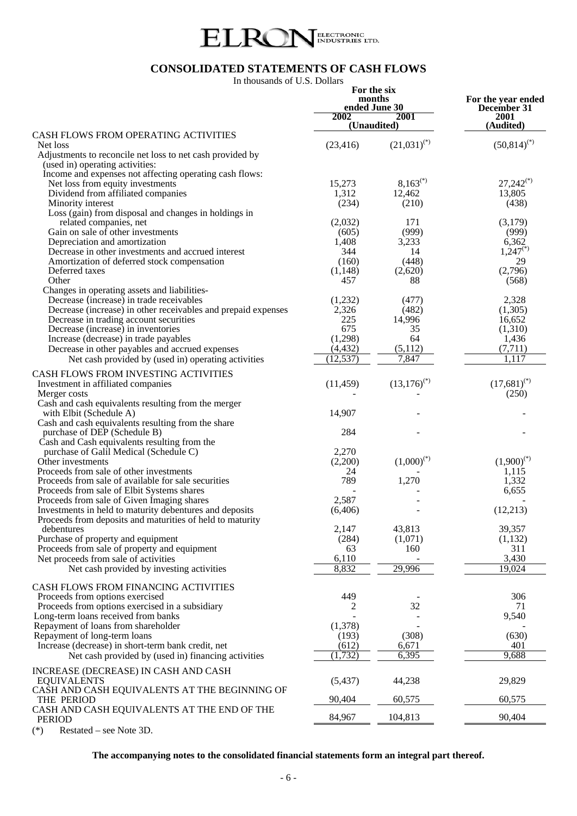

# **CONSOLIDATED STATEMENTS OF CASH FLOWS**

In thousands of U.S. Dollars

| III thousands of O.S. Donars                                                                                                                                        | 2002            | For the six<br>months<br>ended June 30<br>2001<br>(Unaudited) |                           |  |  |  | For the year ended<br>December 31<br>2001<br>(Audited) |  |
|---------------------------------------------------------------------------------------------------------------------------------------------------------------------|-----------------|---------------------------------------------------------------|---------------------------|--|--|--|--------------------------------------------------------|--|
| CASH FLOWS FROM OPERATING ACTIVITIES                                                                                                                                |                 |                                                               |                           |  |  |  |                                                        |  |
| Net loss<br>Adjustments to reconcile net loss to net cash provided by<br>(used in) operating activities:<br>Income and expenses not affecting operating cash flows: | (23, 416)       | $(21,031)^{(*)}$                                              | $(50,814)^{(*)}$          |  |  |  |                                                        |  |
| Net loss from equity investments                                                                                                                                    | 15,273          | $8,163^{(*)}$                                                 | $27,242^{(*)}$            |  |  |  |                                                        |  |
| Dividend from affiliated companies                                                                                                                                  | 1,312           | 12,462                                                        | 13,805                    |  |  |  |                                                        |  |
| Minority interest                                                                                                                                                   | (234)           | (210)                                                         | (438)                     |  |  |  |                                                        |  |
| Loss (gain) from disposal and changes in holdings in<br>related companies, net                                                                                      | (2,032)         | 171                                                           | (3,179)                   |  |  |  |                                                        |  |
| Gain on sale of other investments                                                                                                                                   | (605)           | (999)                                                         | (999)                     |  |  |  |                                                        |  |
| Depreciation and amortization                                                                                                                                       | 1,408           | 3,233                                                         | 6,362                     |  |  |  |                                                        |  |
| Decrease in other investments and accrued interest                                                                                                                  | 344             | 14                                                            | $1,247$ <sup>(*)</sup>    |  |  |  |                                                        |  |
| Amortization of deferred stock compensation                                                                                                                         | (160)           | (448)                                                         | 29                        |  |  |  |                                                        |  |
| Deferred taxes<br>Other                                                                                                                                             | (1, 148)<br>457 | (2,620)<br>88                                                 | (2,796)<br>(568)          |  |  |  |                                                        |  |
| Changes in operating assets and liabilities-                                                                                                                        |                 |                                                               |                           |  |  |  |                                                        |  |
| Decrease (increase) in trade receivables                                                                                                                            | (1,232)         | (477)                                                         | 2,328                     |  |  |  |                                                        |  |
| Decrease (increase) in other receivables and prepaid expenses                                                                                                       | 2,326<br>225    | (482)                                                         | (1,305)                   |  |  |  |                                                        |  |
| Decrease in trading account securities<br>Decrease (increase) in inventories                                                                                        | 675             | 14,996<br>35                                                  | 16,652<br>(1,310)         |  |  |  |                                                        |  |
| Increase (decrease) in trade payables                                                                                                                               | (1,298)         | 64                                                            | 1,436                     |  |  |  |                                                        |  |
| Decrease in other payables and accrued expenses                                                                                                                     | (4, 432)        | (5,112)                                                       | (7, 711)                  |  |  |  |                                                        |  |
| Net cash provided by (used in) operating activities                                                                                                                 | (12, 537)       | 7,847                                                         | 1,117                     |  |  |  |                                                        |  |
| CASH FLOWS FROM INVESTING ACTIVITIES                                                                                                                                |                 |                                                               |                           |  |  |  |                                                        |  |
| Investment in affiliated companies                                                                                                                                  | (11, 459)       | $(13,176)^{(*)}$                                              | $(17,681)^{(*)}$<br>(250) |  |  |  |                                                        |  |
| Merger costs<br>Cash and cash equivalents resulting from the merger                                                                                                 |                 |                                                               |                           |  |  |  |                                                        |  |
| with Elbit (Schedule A)                                                                                                                                             | 14,907          |                                                               |                           |  |  |  |                                                        |  |
| Cash and cash equivalents resulting from the share                                                                                                                  |                 |                                                               |                           |  |  |  |                                                        |  |
| purchase of DEP (Schedule B)<br>Cash and Cash equivalents resulting from the                                                                                        | 284             |                                                               |                           |  |  |  |                                                        |  |
| purchase of Galil Medical (Schedule C)                                                                                                                              | 2,270           |                                                               |                           |  |  |  |                                                        |  |
| Other investments                                                                                                                                                   | (2,200)         | $(1,000)^{(*)}$                                               | $(1,900)^{(*)}$           |  |  |  |                                                        |  |
| Proceeds from sale of other investments                                                                                                                             | 24              |                                                               | 1,115                     |  |  |  |                                                        |  |
| Proceeds from sale of available for sale securities<br>Proceeds from sale of Elbit Systems shares                                                                   | 789             | 1,270                                                         | 1,332<br>6,655            |  |  |  |                                                        |  |
| Proceeds from sale of Given Imaging shares                                                                                                                          | 2,587           |                                                               |                           |  |  |  |                                                        |  |
| Investments in held to maturity debentures and deposits                                                                                                             | (6, 406)        |                                                               | (12,213)                  |  |  |  |                                                        |  |
| Proceeds from deposits and maturities of held to maturity                                                                                                           |                 |                                                               |                           |  |  |  |                                                        |  |
| debentures<br>Purchase of property and equipment                                                                                                                    | 2,147<br>(284)  | 43,813<br>(1,071)                                             | 39,357<br>(1,132)         |  |  |  |                                                        |  |
| Proceeds from sale of property and equipment                                                                                                                        | 63              | 160                                                           | 311                       |  |  |  |                                                        |  |
| Net proceeds from sale of activities                                                                                                                                | 6,110           |                                                               | 3,430                     |  |  |  |                                                        |  |
| Net cash provided by investing activities                                                                                                                           | 8,832           | 29,996                                                        | 19,024                    |  |  |  |                                                        |  |
| CASH FLOWS FROM FINANCING ACTIVITIES                                                                                                                                |                 |                                                               |                           |  |  |  |                                                        |  |
| Proceeds from options exercised                                                                                                                                     | 449             |                                                               | 306                       |  |  |  |                                                        |  |
| Proceeds from options exercised in a subsidiary                                                                                                                     | 2               | 32                                                            | 71                        |  |  |  |                                                        |  |
| Long-term loans received from banks<br>Repayment of loans from shareholder                                                                                          | (1,378)         |                                                               | 9,540                     |  |  |  |                                                        |  |
| Repayment of long-term loans                                                                                                                                        | (193)           | (308)                                                         | (630)                     |  |  |  |                                                        |  |
| Increase (decrease) in short-term bank credit, net                                                                                                                  | (612)           | 6,671                                                         | 401                       |  |  |  |                                                        |  |
| Net cash provided by (used in) financing activities                                                                                                                 | (1, 732)        | 6,395                                                         | 9,688                     |  |  |  |                                                        |  |
| INCREASE (DECREASE) IN CASH AND CASH                                                                                                                                |                 |                                                               |                           |  |  |  |                                                        |  |
| <b>EQUIVALENTS</b>                                                                                                                                                  | (5, 437)        | 44,238                                                        | 29,829                    |  |  |  |                                                        |  |
| CASH AND CASH EQUIVALENTS AT THE BEGINNING OF<br>THE PERIOD                                                                                                         | 90,404          | 60,575                                                        | 60,575                    |  |  |  |                                                        |  |
| CASH AND CASH EQUIVALENTS AT THE END OF THE<br><b>PERIOD</b>                                                                                                        | 84,967          | 104,813                                                       | 90,404                    |  |  |  |                                                        |  |

(\*) Restated – see Note 3D.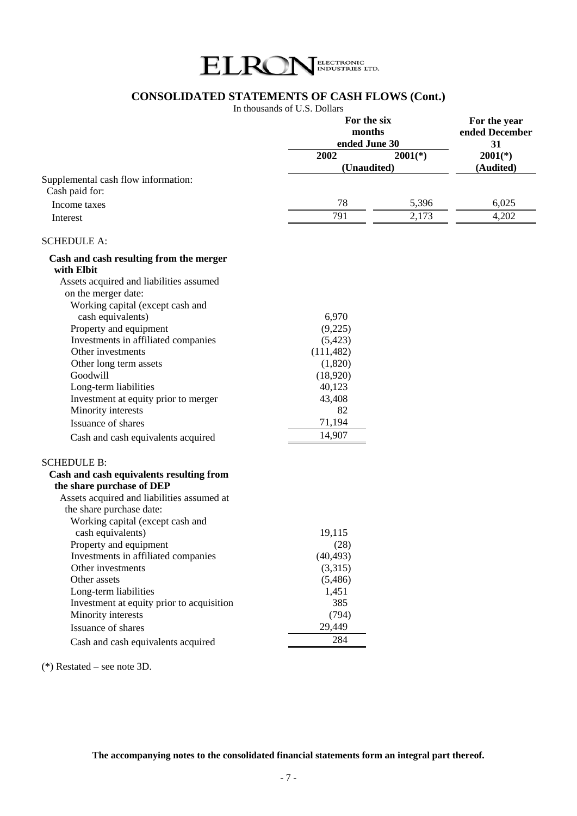

# **CONSOLIDATED STATEMENTS OF CASH FLOWS (Cont.)**

In thousands of U.S. Dollars

|                                                                       | For the six<br>months<br>ended June 30 |           |                 |  |
|-----------------------------------------------------------------------|----------------------------------------|-----------|-----------------|--|
|                                                                       | 2002                                   | $2001(*)$ | 31<br>$2001(*)$ |  |
|                                                                       | (Unaudited)                            | (Audited) |                 |  |
| Supplemental cash flow information:<br>Cash paid for:                 |                                        |           |                 |  |
| Income taxes                                                          | 78                                     | 5,396     | 6,025           |  |
| Interest                                                              | 791                                    | 2,173     | 4,202           |  |
| <b>SCHEDULE A:</b>                                                    |                                        |           |                 |  |
| Cash and cash resulting from the merger<br>with Elbit                 |                                        |           |                 |  |
| Assets acquired and liabilities assumed                               |                                        |           |                 |  |
| on the merger date:                                                   |                                        |           |                 |  |
| Working capital (except cash and                                      |                                        |           |                 |  |
| cash equivalents)                                                     | 6,970                                  |           |                 |  |
| Property and equipment                                                | (9,225)                                |           |                 |  |
| Investments in affiliated companies                                   | (5, 423)                               |           |                 |  |
| Other investments                                                     | (111, 482)                             |           |                 |  |
| Other long term assets                                                | (1,820)                                |           |                 |  |
| Goodwill                                                              | (18,920)                               |           |                 |  |
| Long-term liabilities                                                 | 40,123                                 |           |                 |  |
| Investment at equity prior to merger                                  | 43,408                                 |           |                 |  |
| Minority interests                                                    | 82                                     |           |                 |  |
| Issuance of shares                                                    | 71,194                                 |           |                 |  |
| Cash and cash equivalents acquired                                    | 14,907                                 |           |                 |  |
| <b>SCHEDULE B:</b>                                                    |                                        |           |                 |  |
| Cash and cash equivalents resulting from<br>the share purchase of DEP |                                        |           |                 |  |
| Assets acquired and liabilities assumed at                            |                                        |           |                 |  |
| the share purchase date:                                              |                                        |           |                 |  |
| Working capital (except cash and                                      |                                        |           |                 |  |
| cash equivalents)                                                     | 19,115                                 |           |                 |  |
| Property and equipment                                                | (28)                                   |           |                 |  |
| Investments in affiliated companies                                   | (40, 493)                              |           |                 |  |
| Other investments                                                     | (3,315)                                |           |                 |  |
| Other assets                                                          | (5,486)                                |           |                 |  |
| Long-term liabilities                                                 | 1,451                                  |           |                 |  |
| Investment at equity prior to acquisition                             | 385                                    |           |                 |  |
| Minority interests                                                    | (794)                                  |           |                 |  |
| Issuance of shares                                                    | 29,449                                 |           |                 |  |
| Cash and cash equivalents acquired                                    | 284                                    |           |                 |  |

(\*) Restated – see note 3D.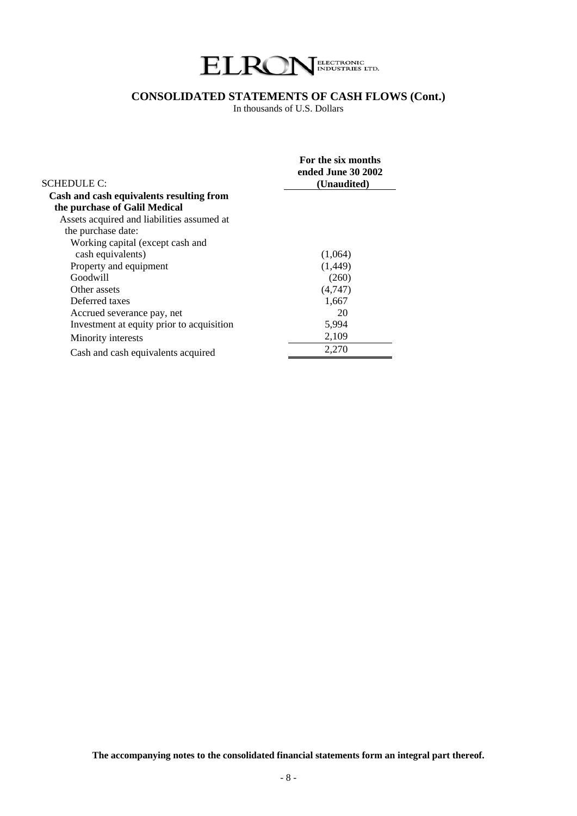

# **CONSOLIDATED STATEMENTS OF CASH FLOWS (Cont.)**

In thousands of U.S. Dollars

| <b>SCHEDULE C:</b>                         | For the six months<br>ended June 30 2002<br>(Unaudited) |
|--------------------------------------------|---------------------------------------------------------|
| Cash and cash equivalents resulting from   |                                                         |
| the purchase of Galil Medical              |                                                         |
| Assets acquired and liabilities assumed at |                                                         |
| the purchase date:                         |                                                         |
| Working capital (except cash and           |                                                         |
| cash equivalents)                          | (1,064)                                                 |
| Property and equipment                     | (1,449)                                                 |
| Goodwill                                   | (260)                                                   |
| Other assets                               | (4,747)                                                 |
| Deferred taxes                             | 1,667                                                   |
| Accrued severance pay, net                 | 20                                                      |
| Investment at equity prior to acquisition  | 5,994                                                   |
| Minority interests                         | 2,109                                                   |
| Cash and cash equivalents acquired         | 2,270                                                   |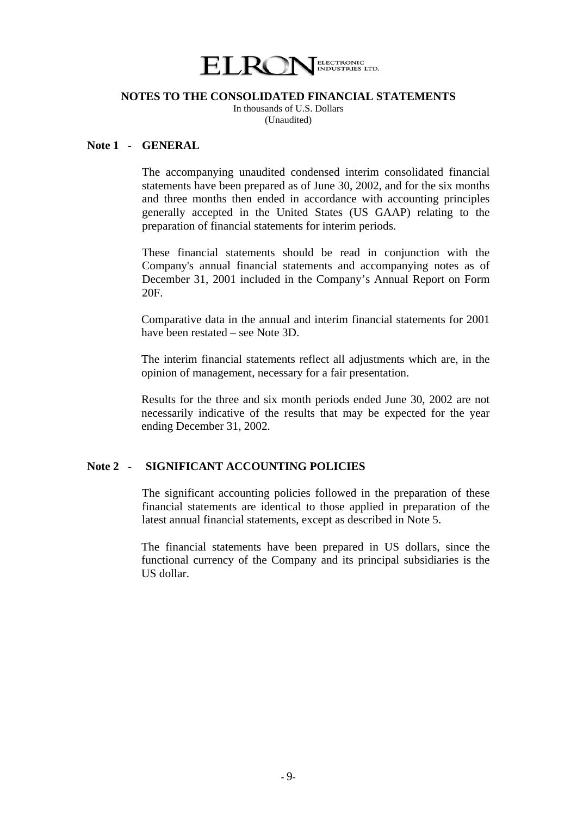

In thousands of U.S. Dollars (Unaudited)

# **Note 1 - GENERAL**

 The accompanying unaudited condensed interim consolidated financial statements have been prepared as of June 30, 2002, and for the six months and three months then ended in accordance with accounting principles generally accepted in the United States (US GAAP) relating to the preparation of financial statements for interim periods.

 These financial statements should be read in conjunction with the Company's annual financial statements and accompanying notes as of December 31, 2001 included in the Company's Annual Report on Form 20F.

Comparative data in the annual and interim financial statements for 2001 have been restated – see Note 3D.

The interim financial statements reflect all adjustments which are, in the opinion of management, necessary for a fair presentation.

Results for the three and six month periods ended June 30, 2002 are not necessarily indicative of the results that may be expected for the year ending December 31, 2002.

## **Note 2 - SIGNIFICANT ACCOUNTING POLICIES**

 The significant accounting policies followed in the preparation of these financial statements are identical to those applied in preparation of the latest annual financial statements, except as described in Note 5.

The financial statements have been prepared in US dollars, since the functional currency of the Company and its principal subsidiaries is the US dollar.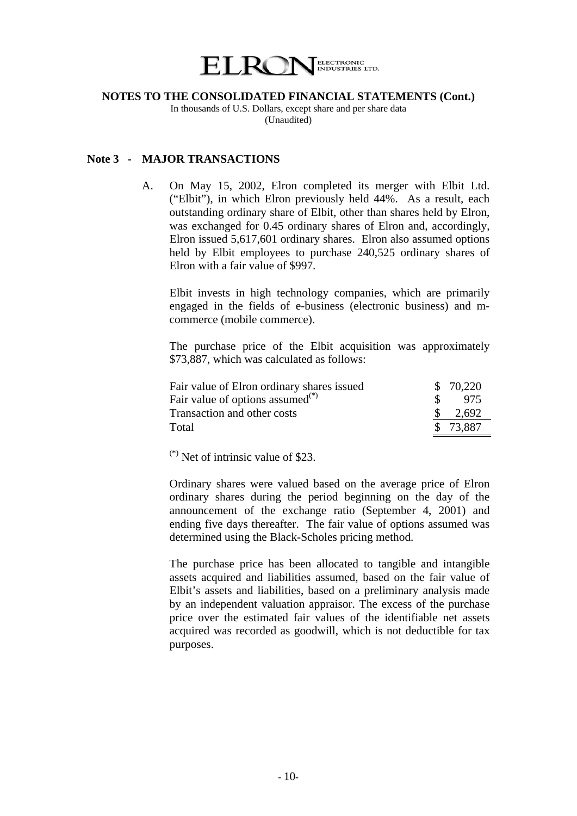

In thousands of U.S. Dollars, except share and per share data (Unaudited)

#### **Note 3 - MAJOR TRANSACTIONS**

A. On May 15, 2002, Elron completed its merger with Elbit Ltd. ("Elbit"), in which Elron previously held 44%. As a result, each outstanding ordinary share of Elbit, other than shares held by Elron, was exchanged for 0.45 ordinary shares of Elron and, accordingly, Elron issued 5,617,601 ordinary shares. Elron also assumed options held by Elbit employees to purchase 240,525 ordinary shares of Elron with a fair value of \$997.

 Elbit invests in high technology companies, which are primarily engaged in the fields of e-business (electronic business) and mcommerce (mobile commerce).

The purchase price of the Elbit acquisition was approximately \$73,887, which was calculated as follows:

| Fair value of Elron ordinary shares issued   |               | \$70,220           |
|----------------------------------------------|---------------|--------------------|
| Fair value of options assumed <sup>(*)</sup> | $\mathcal{S}$ | - 975              |
| Transaction and other costs                  |               | $\frac{\$}{2.692}$ |
| Total                                        |               | \$73.887           |

 $(*)$  Net of intrinsic value of \$23.

 Ordinary shares were valued based on the average price of Elron ordinary shares during the period beginning on the day of the announcement of the exchange ratio (September 4, 2001) and ending five days thereafter. The fair value of options assumed was determined using the Black-Scholes pricing method.

 The purchase price has been allocated to tangible and intangible assets acquired and liabilities assumed, based on the fair value of Elbit's assets and liabilities, based on a preliminary analysis made by an independent valuation appraisor. The excess of the purchase price over the estimated fair values of the identifiable net assets acquired was recorded as goodwill, which is not deductible for tax purposes.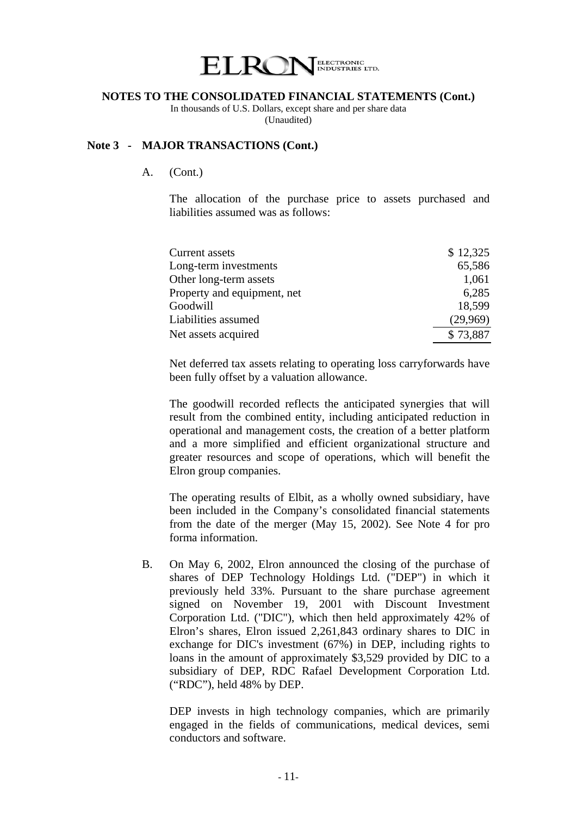

In thousands of U.S. Dollars, except share and per share data (Unaudited)

## **Note 3 - MAJOR TRANSACTIONS (Cont.)**

A. (Cont.)

The allocation of the purchase price to assets purchased and liabilities assumed was as follows:

| Current assets              | \$12,325 |
|-----------------------------|----------|
| Long-term investments       | 65,586   |
| Other long-term assets      | 1,061    |
| Property and equipment, net | 6,285    |
| Goodwill                    | 18,599   |
| Liabilities assumed         | (29,969) |
| Net assets acquired         | \$73,887 |

Net deferred tax assets relating to operating loss carryforwards have been fully offset by a valuation allowance.

 The goodwill recorded reflects the anticipated synergies that will result from the combined entity, including anticipated reduction in operational and management costs, the creation of a better platform and a more simplified and efficient organizational structure and greater resources and scope of operations, which will benefit the Elron group companies.

The operating results of Elbit, as a wholly owned subsidiary, have been included in the Company's consolidated financial statements from the date of the merger (May 15, 2002). See Note 4 for pro forma information.

B. On May 6, 2002, Elron announced the closing of the purchase of shares of DEP Technology Holdings Ltd. ("DEP") in which it previously held 33%. Pursuant to the share purchase agreement signed on November 19, 2001 with Discount Investment Corporation Ltd. ("DIC"), which then held approximately 42% of Elron's shares, Elron issued 2,261,843 ordinary shares to DIC in exchange for DIC's investment (67%) in DEP, including rights to loans in the amount of approximately \$3,529 provided by DIC to a subsidiary of DEP, RDC Rafael Development Corporation Ltd. ("RDC"), held 48% by DEP.

DEP invests in high technology companies, which are primarily engaged in the fields of communications, medical devices, semi conductors and software.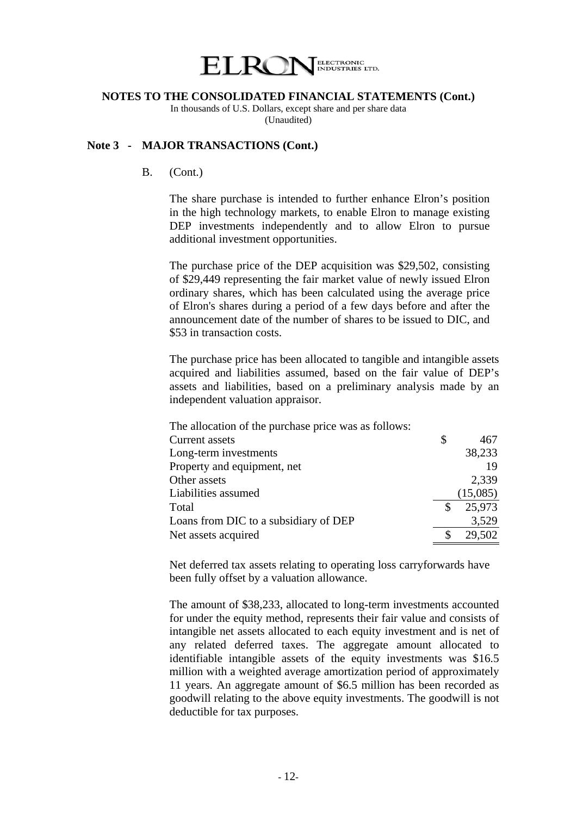

In thousands of U.S. Dollars, except share and per share data (Unaudited)

# **Note 3 - MAJOR TRANSACTIONS (Cont.)**

#### B. (Cont.)

The share purchase is intended to further enhance Elron's position in the high technology markets, to enable Elron to manage existing DEP investments independently and to allow Elron to pursue additional investment opportunities.

The purchase price of the DEP acquisition was \$29,502, consisting of \$29,449 representing the fair market value of newly issued Elron ordinary shares, which has been calculated using the average price of Elron's shares during a period of a few days before and after the announcement date of the number of shares to be issued to DIC, and \$53 in transaction costs.

 The purchase price has been allocated to tangible and intangible assets acquired and liabilities assumed, based on the fair value of DEP's assets and liabilities, based on a preliminary analysis made by an independent valuation appraisor.

| The allocation of the purchase price was as follows: |   |          |
|------------------------------------------------------|---|----------|
| <b>Current assets</b>                                | S | 467      |
| Long-term investments                                |   | 38,233   |
| Property and equipment, net                          |   | 19       |
| Other assets                                         |   | 2,339    |
| Liabilities assumed                                  |   | (15,085) |
| Total                                                |   | 25,973   |
| Loans from DIC to a subsidiary of DEP                |   | 3,529    |
| Net assets acquired                                  |   | 29,502   |

Net deferred tax assets relating to operating loss carryforwards have been fully offset by a valuation allowance.

The amount of \$38,233, allocated to long-term investments accounted for under the equity method, represents their fair value and consists of intangible net assets allocated to each equity investment and is net of any related deferred taxes. The aggregate amount allocated to identifiable intangible assets of the equity investments was \$16.5 million with a weighted average amortization period of approximately 11 years. An aggregate amount of \$6.5 million has been recorded as goodwill relating to the above equity investments. The goodwill is not deductible for tax purposes.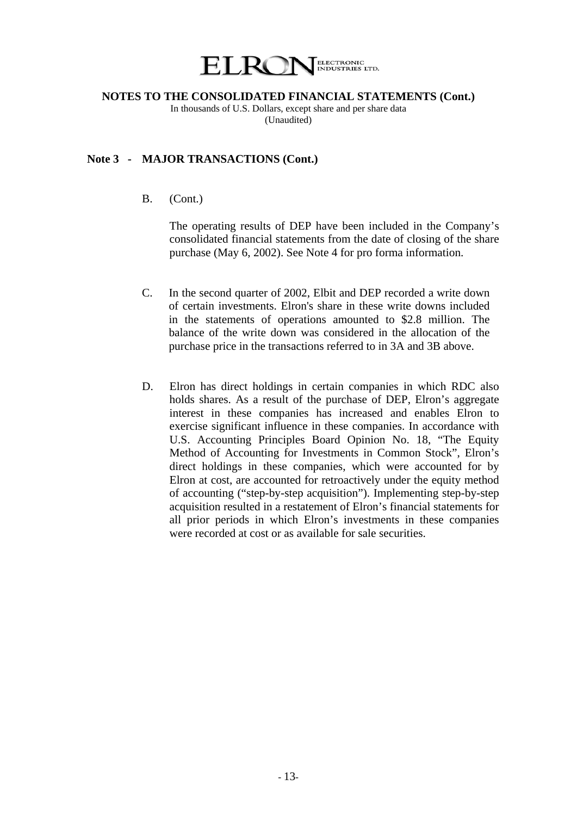

In thousands of U.S. Dollars, except share and per share data (Unaudited)

### **Note 3 - MAJOR TRANSACTIONS (Cont.)**

B. (Cont.)

 The operating results of DEP have been included in the Company's consolidated financial statements from the date of closing of the share purchase (May 6, 2002). See Note 4 for pro forma information.

- C. In the second quarter of 2002, Elbit and DEP recorded a write down of certain investments. Elron's share in these write downs included in the statements of operations amounted to \$2.8 million. The balance of the write down was considered in the allocation of the purchase price in the transactions referred to in 3A and 3B above.
- D. Elron has direct holdings in certain companies in which RDC also holds shares. As a result of the purchase of DEP, Elron's aggregate interest in these companies has increased and enables Elron to exercise significant influence in these companies. In accordance with U.S. Accounting Principles Board Opinion No. 18, "The Equity Method of Accounting for Investments in Common Stock", Elron's direct holdings in these companies, which were accounted for by Elron at cost, are accounted for retroactively under the equity method of accounting ("step-by-step acquisition"). Implementing step-by-step acquisition resulted in a restatement of Elron's financial statements for all prior periods in which Elron's investments in these companies were recorded at cost or as available for sale securities.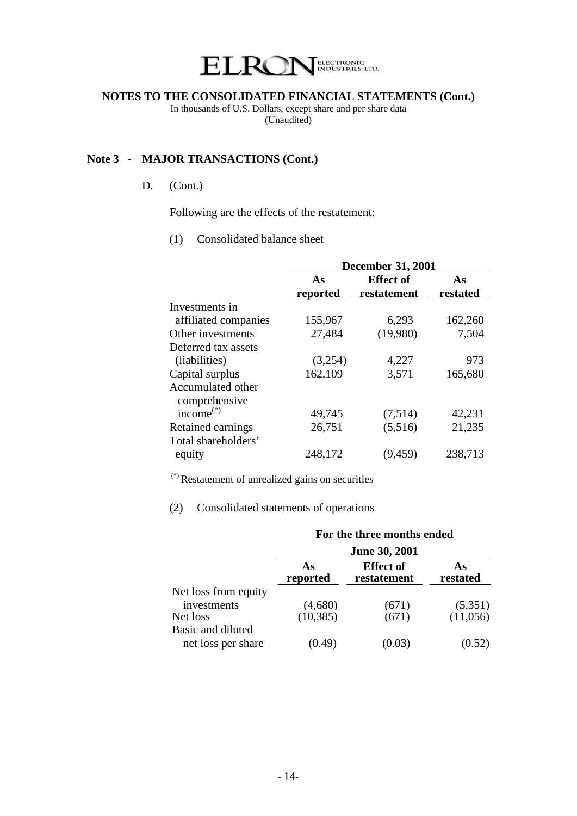

In thousands of U.S. Dollars, except share and per share data (Unaudited)

# **Note 3 - MAJOR TRANSACTIONS (Cont.)**

# D. (Cont.)

Following are the effects of the restatement:

(1) Consolidated balance sheet

|                      | <b>December 31, 2001</b> |                  |          |  |  |
|----------------------|--------------------------|------------------|----------|--|--|
|                      | As                       | <b>Effect of</b> | As       |  |  |
|                      | reported                 | restatement      | restated |  |  |
| Investments in       |                          |                  |          |  |  |
| affiliated companies | 155,967                  | 6,293            | 162,260  |  |  |
| Other investments    | 27,484                   | (19,980)         | 7,504    |  |  |
| Deferred tax assets  |                          |                  |          |  |  |
| (liabilities)        | (3,254)                  | 4,227            | 973      |  |  |
| Capital surplus      | 162,109                  | 3,571            | 165,680  |  |  |
| Accumulated other    |                          |                  |          |  |  |
| comprehensive        |                          |                  |          |  |  |
| income $^{(*)}$      | 49,745                   | (7,514)          | 42,231   |  |  |
| Retained earnings    | 26,751                   | (5,516)          | 21,235   |  |  |
| Total shareholders'  |                          |                  |          |  |  |
| equity               | 248,172                  | (9, 459)         | 238,713  |  |  |

(\*) Restatement of unrealized gains on securities

# (2) Consolidated statements of operations

|                      | For the three months ended<br><b>June 30, 2001</b> |                                 |                |  |  |
|----------------------|----------------------------------------------------|---------------------------------|----------------|--|--|
|                      |                                                    |                                 |                |  |  |
|                      | As<br>reported                                     | <b>Effect of</b><br>restatement | As<br>restated |  |  |
| Net loss from equity |                                                    |                                 |                |  |  |
| investments          | (4,680)                                            | (671)                           | (5,351)        |  |  |
| Net loss             | (10, 385)                                          | (671)                           | (11,056)       |  |  |
| Basic and diluted    |                                                    |                                 |                |  |  |
| net loss per share   | (1.49)                                             |                                 |                |  |  |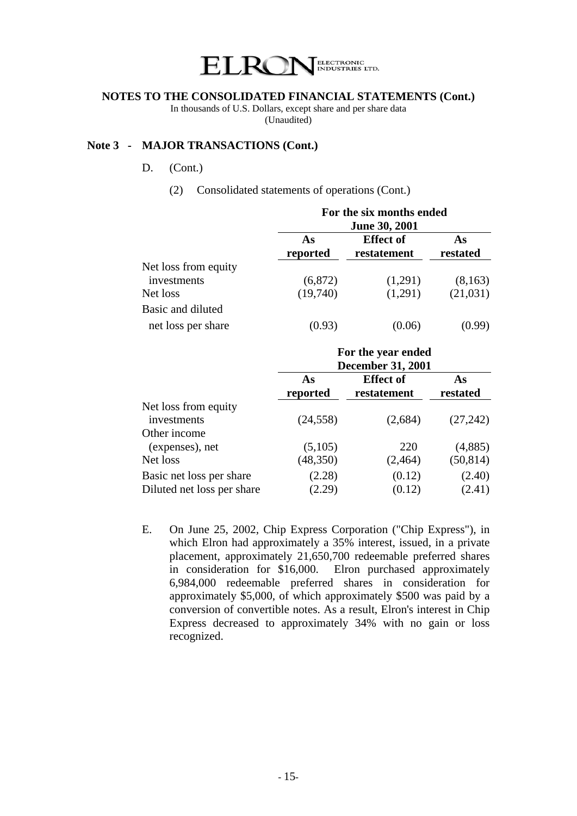

In thousands of U.S. Dollars, except share and per share data (Unaudited)

## **Note 3 - MAJOR TRANSACTIONS (Cont.)**

- D. (Cont.)
	- (2) Consolidated statements of operations (Cont.)

|                                     | For the six months ended |                                 |                |  |  |  |
|-------------------------------------|--------------------------|---------------------------------|----------------|--|--|--|
|                                     | <b>June 30, 2001</b>     |                                 |                |  |  |  |
|                                     | As<br>reported           | <b>Effect of</b><br>restatement | As<br>restated |  |  |  |
| Net loss from equity<br>investments | (6,872)                  | (1,291)                         | (8,163)        |  |  |  |
| Net loss                            | (19,740)                 | (1,291)                         | (21,031)       |  |  |  |
| Basic and diluted                   |                          |                                 |                |  |  |  |
| net loss per share                  | (0.93)                   | (0.06)                          | (0.99)         |  |  |  |

|                                                        | For the year ended<br><b>December 31, 2001</b> |                                 |                  |  |  |
|--------------------------------------------------------|------------------------------------------------|---------------------------------|------------------|--|--|
|                                                        | As<br>reported                                 | <b>Effect of</b><br>restatement | As<br>restated   |  |  |
| Net loss from equity<br>investments                    | (24, 558)                                      | (2,684)                         | (27, 242)        |  |  |
| Other income<br>(expenses), net                        | (5,105)                                        | 220                             | (4,885)          |  |  |
| Net loss                                               | (48, 350)                                      | (2, 464)                        | (50, 814)        |  |  |
| Basic net loss per share<br>Diluted net loss per share | (2.28)<br>(2.29)                               | (0.12)<br>(0.12)                | (2.40)<br>(2.41) |  |  |

E. On June 25, 2002, Chip Express Corporation ("Chip Express"), in which Elron had approximately a 35% interest, issued, in a private placement, approximately 21,650,700 redeemable preferred shares in consideration for \$16,000. Elron purchased approximately 6,984,000 redeemable preferred shares in consideration for approximately \$5,000, of which approximately \$500 was paid by a conversion of convertible notes. As a result, Elron's interest in Chip Express decreased to approximately 34% with no gain or loss recognized.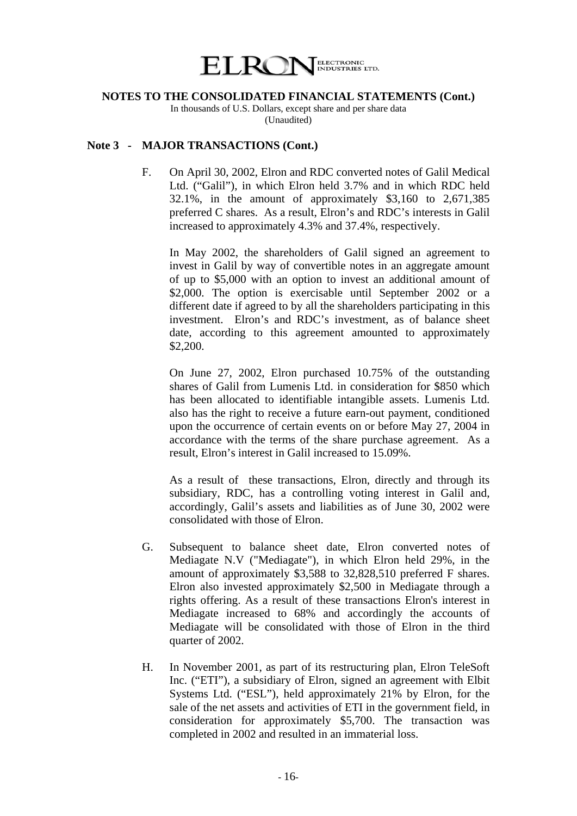

In thousands of U.S. Dollars, except share and per share data (Unaudited)

## **Note 3 - MAJOR TRANSACTIONS (Cont.)**

F. On April 30, 2002, Elron and RDC converted notes of Galil Medical Ltd. ("Galil"), in which Elron held 3.7% and in which RDC held 32.1%, in the amount of approximately \$3,160 to 2,671,385 preferred C shares. As a result, Elron's and RDC's interests in Galil increased to approximately 4.3% and 37.4%, respectively.

In May 2002, the shareholders of Galil signed an agreement to invest in Galil by way of convertible notes in an aggregate amount of up to \$5,000 with an option to invest an additional amount of \$2,000. The option is exercisable until September 2002 or a different date if agreed to by all the shareholders participating in this investment. Elron's and RDC's investment, as of balance sheet date, according to this agreement amounted to approximately \$2,200.

 On June 27, 2002, Elron purchased 10.75% of the outstanding shares of Galil from Lumenis Ltd. in consideration for \$850 which has been allocated to identifiable intangible assets. Lumenis Ltd. also has the right to receive a future earn-out payment, conditioned upon the occurrence of certain events on or before May 27, 2004 in accordance with the terms of the share purchase agreement. As a result, Elron's interest in Galil increased to 15.09%.

 As a result of these transactions, Elron, directly and through its subsidiary, RDC, has a controlling voting interest in Galil and, accordingly, Galil's assets and liabilities as of June 30, 2002 were consolidated with those of Elron.

- G. Subsequent to balance sheet date, Elron converted notes of Mediagate N.V ("Mediagate"), in which Elron held 29%, in the amount of approximately \$3,588 to 32,828,510 preferred F shares. Elron also invested approximately \$2,500 in Mediagate through a rights offering. As a result of these transactions Elron's interest in Mediagate increased to 68% and accordingly the accounts of Mediagate will be consolidated with those of Elron in the third quarter of 2002.
- H. In November 2001, as part of its restructuring plan, Elron TeleSoft Inc. ("ETI"), a subsidiary of Elron, signed an agreement with Elbit Systems Ltd. ("ESL"), held approximately 21% by Elron, for the sale of the net assets and activities of ETI in the government field, in consideration for approximately \$5,700. The transaction was completed in 2002 and resulted in an immaterial loss.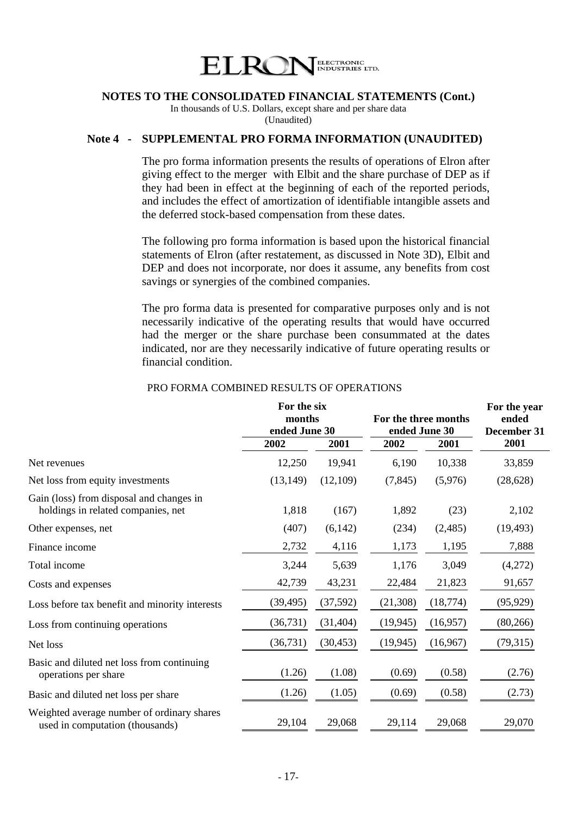

In thousands of U.S. Dollars, except share and per share data (Unaudited)

#### **Note 4 - SUPPLEMENTAL PRO FORMA INFORMATION (UNAUDITED)**

The pro forma information presents the results of operations of Elron after giving effect to the merger with Elbit and the share purchase of DEP as if they had been in effect at the beginning of each of the reported periods, and includes the effect of amortization of identifiable intangible assets and the deferred stock-based compensation from these dates.

The following pro forma information is based upon the historical financial statements of Elron (after restatement, as discussed in Note 3D), Elbit and DEP and does not incorporate, nor does it assume, any benefits from cost savings or synergies of the combined companies.

 The pro forma data is presented for comparative purposes only and is not necessarily indicative of the operating results that would have occurred had the merger or the share purchase been consummated at the dates indicated, nor are they necessarily indicative of future operating results or financial condition.

|                                                                                | For the six   |           |                      |           | For the year |
|--------------------------------------------------------------------------------|---------------|-----------|----------------------|-----------|--------------|
|                                                                                | months        |           | For the three months |           | ended        |
|                                                                                | ended June 30 |           | ended June 30        |           | December 31  |
|                                                                                | 2002          | 2001      | 2002                 | 2001      | 2001         |
| Net revenues                                                                   | 12,250        | 19,941    | 6,190                | 10,338    | 33,859       |
| Net loss from equity investments                                               | (13, 149)     | (12,109)  | (7, 845)             | (5,976)   | (28, 628)    |
| Gain (loss) from disposal and changes in<br>holdings in related companies, net | 1,818         | (167)     | 1,892                | (23)      | 2,102        |
| Other expenses, net                                                            | (407)         | (6,142)   | (234)                | (2,485)   | (19, 493)    |
| Finance income                                                                 | 2,732         | 4,116     | 1,173                | 1,195     | 7,888        |
| Total income                                                                   | 3,244         | 5,639     | 1,176                | 3,049     | (4,272)      |
| Costs and expenses                                                             | 42,739        | 43,231    | 22,484               | 21,823    | 91,657       |
| Loss before tax benefit and minority interests                                 | (39, 495)     | (37,592)  | (21,308)             | (18, 774) | (95, 929)    |
| Loss from continuing operations                                                | (36, 731)     | (31, 404) | (19, 945)            | (16,957)  | (80, 266)    |
| Net loss                                                                       | (36, 731)     | (30, 453) | (19, 945)            | (16,967)  | (79,315)     |
| Basic and diluted net loss from continuing<br>operations per share             | (1.26)        | (1.08)    | (0.69)               | (0.58)    | (2.76)       |
| Basic and diluted net loss per share                                           | (1.26)        | (1.05)    | (0.69)               | (0.58)    | (2.73)       |
| Weighted average number of ordinary shares<br>used in computation (thousands)  | 29,104        | 29,068    | 29,114               | 29,068    | 29,070       |

#### PRO FORMA COMBINED RESULTS OF OPERATIONS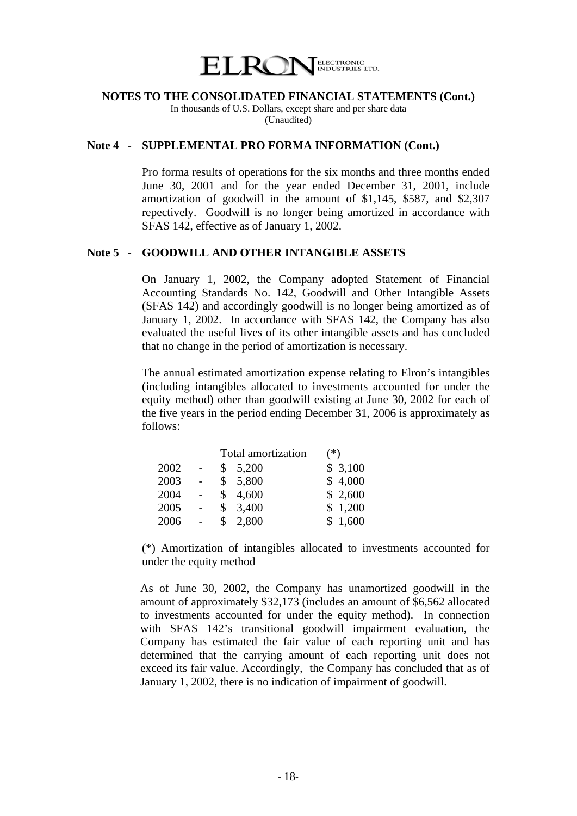

In thousands of U.S. Dollars, except share and per share data (Unaudited)

#### **Note 4 - SUPPLEMENTAL PRO FORMA INFORMATION (Cont.)**

Pro forma results of operations for the six months and three months ended June 30, 2001 and for the year ended December 31, 2001, include amortization of goodwill in the amount of \$1,145, \$587, and \$2,307 repectively. Goodwill is no longer being amortized in accordance with SFAS 142, effective as of January 1, 2002.

## **Note 5 - GOODWILL AND OTHER INTANGIBLE ASSETS**

 On January 1, 2002, the Company adopted Statement of Financial Accounting Standards No. 142, Goodwill and Other Intangible Assets (SFAS 142) and accordingly goodwill is no longer being amortized as of January 1, 2002. In accordance with SFAS 142, the Company has also evaluated the useful lives of its other intangible assets and has concluded that no change in the period of amortization is necessary.

 The annual estimated amortization expense relating to Elron's intangibles (including intangibles allocated to investments accounted for under the equity method) other than goodwill existing at June 30, 2002 for each of the five years in the period ending December 31, 2006 is approximately as follows:

|      |              | Total amortization | ั*)     |  |  |
|------|--------------|--------------------|---------|--|--|
| 2002 | \$           | 5,200              | \$3,100 |  |  |
| 2003 |              | \$5,800            | \$4,000 |  |  |
| 2004 |              | \$4,600            | \$2,600 |  |  |
| 2005 | $\mathbb{S}$ | 3,400              | \$1,200 |  |  |
| 2006 | \$           | 2,800              | \$1,600 |  |  |

 (\*) Amortization of intangibles allocated to investments accounted for under the equity method

As of June 30, 2002, the Company has unamortized goodwill in the amount of approximately \$32,173 (includes an amount of \$6,562 allocated to investments accounted for under the equity method). In connection with SFAS 142's transitional goodwill impairment evaluation, the Company has estimated the fair value of each reporting unit and has determined that the carrying amount of each reporting unit does not exceed its fair value. Accordingly, the Company has concluded that as of January 1, 2002, there is no indication of impairment of goodwill.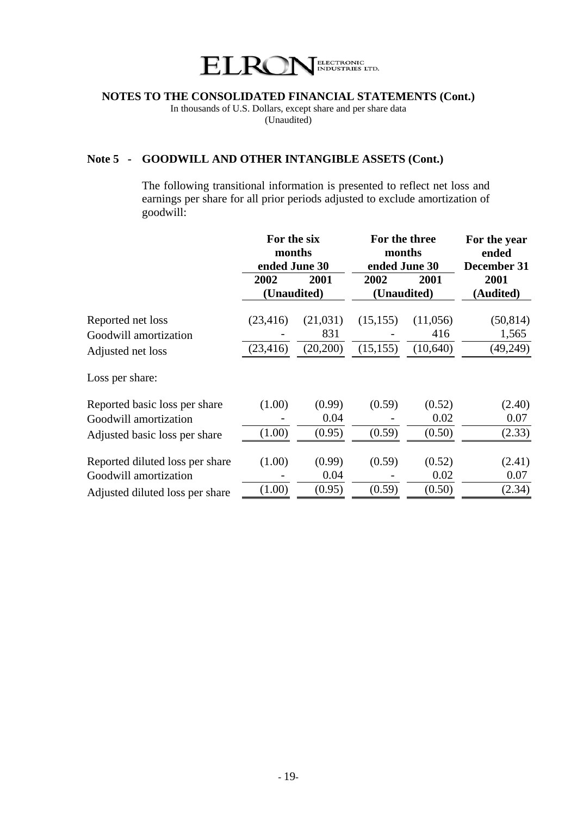

In thousands of U.S. Dollars, except share and per share data (Unaudited)

# **Note 5 - GOODWILL AND OTHER INTANGIBLE ASSETS (Cont.)**

 The following transitional information is presented to reflect net loss and earnings per share for all prior periods adjusted to exclude amortization of goodwill:

| 2001<br>2002<br>2001<br>2002<br>2001<br>(Unaudited)<br>(Unaudited)<br>(Audited)<br>(11,056)<br>Reported net loss<br>(23, 416)<br>(21,031)<br>(15, 155)<br>831<br>416<br>1,565<br>Goodwill amortization<br>(20,200)<br>(10,640)<br>(23, 416)<br>(15, 155)<br>Adjusted net loss<br>Loss per share:<br>(1.00)<br>(0.99)<br>(0.59)<br>(0.52)<br>Reported basic loss per share<br>0.04<br>0.02<br>0.07<br>Goodwill amortization<br>(1.00)<br>(0.95)<br>(0.59)<br>(0.50)<br>Adjusted basic loss per share<br>Reported diluted loss per share<br>(1.00)<br>(0.99)<br>(0.59)<br>(0.52)<br>0.04<br>0.02<br>0.07<br>Goodwill amortization |                                 | For the six<br>months<br>ended June 30 |        | For the three<br>months<br>ended June 30 | For the year<br>ended<br>December 31 |           |
|---------------------------------------------------------------------------------------------------------------------------------------------------------------------------------------------------------------------------------------------------------------------------------------------------------------------------------------------------------------------------------------------------------------------------------------------------------------------------------------------------------------------------------------------------------------------------------------------------------------------------------|---------------------------------|----------------------------------------|--------|------------------------------------------|--------------------------------------|-----------|
|                                                                                                                                                                                                                                                                                                                                                                                                                                                                                                                                                                                                                                 |                                 |                                        |        |                                          |                                      |           |
|                                                                                                                                                                                                                                                                                                                                                                                                                                                                                                                                                                                                                                 |                                 |                                        |        |                                          |                                      |           |
|                                                                                                                                                                                                                                                                                                                                                                                                                                                                                                                                                                                                                                 |                                 |                                        |        |                                          |                                      | (50, 814) |
|                                                                                                                                                                                                                                                                                                                                                                                                                                                                                                                                                                                                                                 |                                 |                                        |        |                                          |                                      |           |
|                                                                                                                                                                                                                                                                                                                                                                                                                                                                                                                                                                                                                                 |                                 |                                        |        |                                          |                                      | (49,249)  |
|                                                                                                                                                                                                                                                                                                                                                                                                                                                                                                                                                                                                                                 |                                 |                                        |        |                                          |                                      |           |
|                                                                                                                                                                                                                                                                                                                                                                                                                                                                                                                                                                                                                                 |                                 |                                        |        |                                          |                                      | (2.40)    |
|                                                                                                                                                                                                                                                                                                                                                                                                                                                                                                                                                                                                                                 |                                 |                                        |        |                                          |                                      |           |
|                                                                                                                                                                                                                                                                                                                                                                                                                                                                                                                                                                                                                                 |                                 |                                        |        |                                          |                                      | (2.33)    |
|                                                                                                                                                                                                                                                                                                                                                                                                                                                                                                                                                                                                                                 |                                 |                                        |        |                                          |                                      |           |
|                                                                                                                                                                                                                                                                                                                                                                                                                                                                                                                                                                                                                                 |                                 |                                        |        |                                          |                                      | (2.41)    |
|                                                                                                                                                                                                                                                                                                                                                                                                                                                                                                                                                                                                                                 |                                 |                                        |        |                                          |                                      |           |
|                                                                                                                                                                                                                                                                                                                                                                                                                                                                                                                                                                                                                                 | Adjusted diluted loss per share | (1.00)                                 | (0.95) | (0.59)                                   | (0.50)                               | (2.34)    |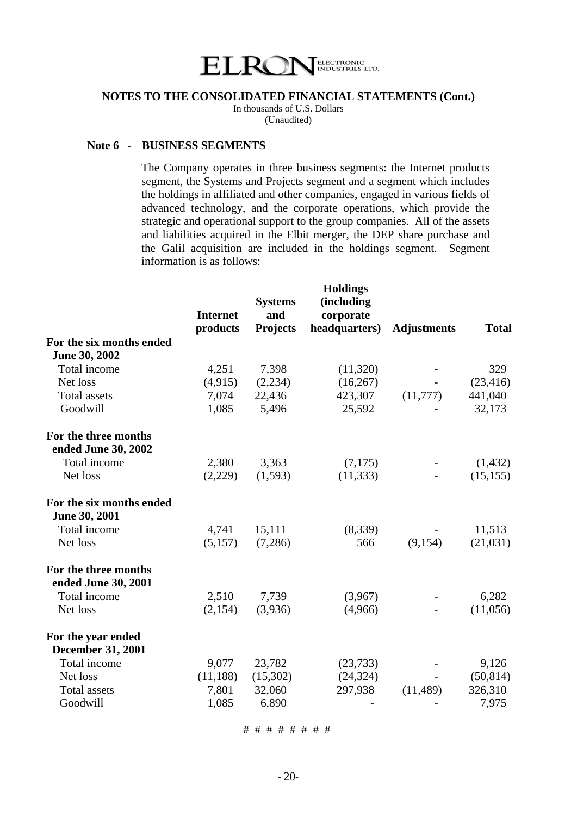

In thousands of U.S. Dollars (Unaudited)

#### **Note 6 - BUSINESS SEGMENTS**

 The Company operates in three business segments: the Internet products segment, the Systems and Projects segment and a segment which includes the holdings in affiliated and other companies, engaged in various fields of advanced technology, and the corporate operations, which provide the strategic and operational support to the group companies. All of the assets and liabilities acquired in the Elbit merger, the DEP share purchase and the Galil acquisition are included in the holdings segment. Segment information is as follows:

|                 |                 | <b>Holdings</b> |                            |              |
|-----------------|-----------------|-----------------|----------------------------|--------------|
|                 | <b>Systems</b>  | (including      |                            |              |
| <b>Internet</b> | and             |                 |                            |              |
| products        | <b>Projects</b> |                 | <b>Adjustments</b>         | <b>Total</b> |
|                 |                 |                 |                            |              |
|                 |                 |                 |                            |              |
| 4,251           | 7,398           | (11,320)        |                            | 329          |
| (4,915)         | (2,234)         | (16, 267)       |                            | (23, 416)    |
| 7,074           | 22,436          | 423,307         | (11,777)                   | 441,040      |
| 1,085           | 5,496           | 25,592          |                            | 32,173       |
|                 |                 |                 |                            |              |
|                 |                 |                 |                            |              |
| 2,380           | 3,363           | (7,175)         |                            | (1,432)      |
| (2,229)         | (1,593)         | (11, 333)       |                            | (15, 155)    |
|                 |                 |                 |                            |              |
|                 |                 |                 |                            |              |
| 4,741           | 15,111          | (8,339)         |                            | 11,513       |
| (5,157)         | (7,286)         | 566             | (9,154)                    | (21,031)     |
|                 |                 |                 |                            |              |
|                 |                 |                 |                            |              |
| 2,510           | 7,739           | (3,967)         |                            | 6,282        |
| (2,154)         | (3,936)         | (4,966)         |                            | (11,056)     |
|                 |                 |                 |                            |              |
|                 |                 |                 |                            |              |
| 9,077           | 23,782          | (23, 733)       |                            | 9,126        |
| (11, 188)       | (15,302)        | (24, 324)       | $\blacksquare$             | (50, 814)    |
| 7,801           | 32,060          | 297,938         | (11, 489)                  | 326,310      |
| 1,085           | 6,890           |                 |                            | 7,975        |
|                 |                 |                 | corporate<br>headquarters) |              |

# # # # # # # #